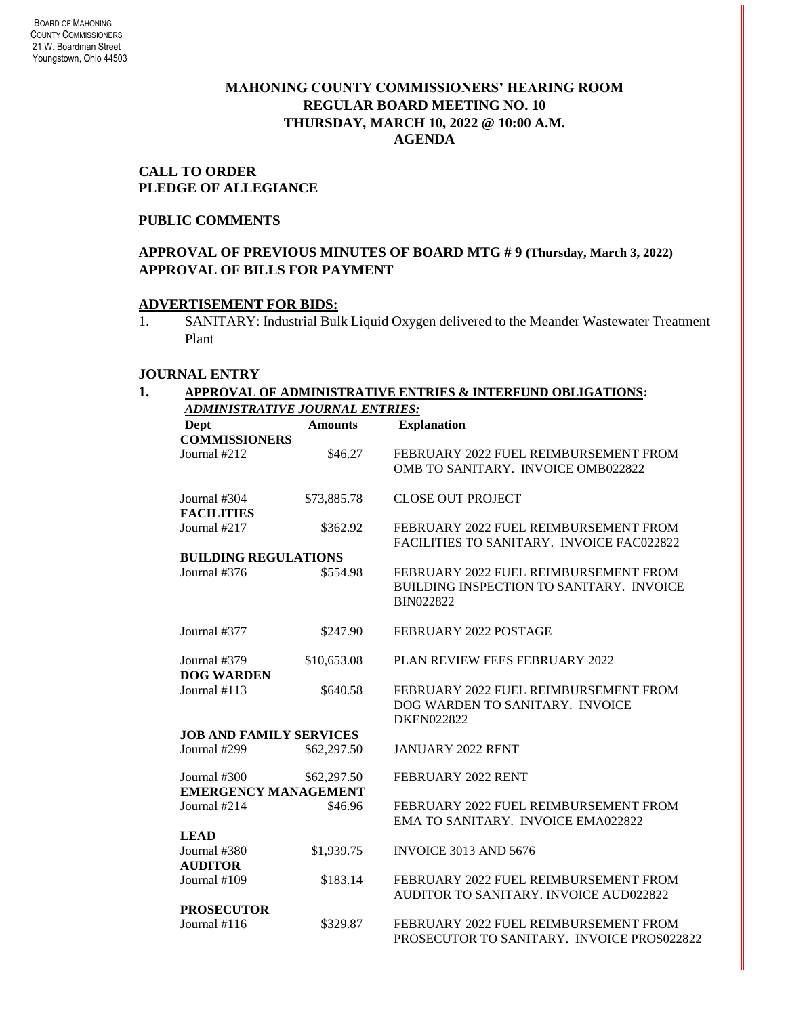# **MAHONING COUNTY COMMISSIONERS' HEARING ROOM REGULAR BOARD MEETING NO. 10 THURSDAY***,* **MARCH 10, 2022 @ 10:00 A.M. AGENDA**

### **CALL TO ORDER PLEDGE OF ALLEGIANCE**

### **PUBLIC COMMENTS**

# **APPROVAL OF PREVIOUS MINUTES OF BOARD MTG # 9 (Thursday, March 3, 2022) APPROVAL OF BILLS FOR PAYMENT**

# **ADVERTISEMENT FOR BIDS:**

1. SANITARY: Industrial Bulk Liquid Oxygen delivered to the Meander Wastewater Treatment Plant

# **JOURNAL ENTRY**

#### **1. APPROVAL OF ADMINISTRATIVE ENTRIES & INTERFUND OBLIGATIONS:**  *ADMINISTRATIVE JOURNAL ENTRIES:*

| Dept                           | <b>Amounts</b> | <b>Explanation</b>                         |
|--------------------------------|----------------|--------------------------------------------|
| <b>COMMISSIONERS</b>           |                |                                            |
| Journal #212                   | \$46.27        | FEBRUARY 2022 FUEL REIMBURSEMENT FROM      |
|                                |                | OMB TO SANITARY. INVOICE OMB022822         |
| Journal #304                   | \$73,885.78    | <b>CLOSE OUT PROJECT</b>                   |
| <b>FACILITIES</b>              |                |                                            |
| Journal #217                   | \$362.92       | FEBRUARY 2022 FUEL REIMBURSEMENT FROM      |
|                                |                | FACILITIES TO SANITARY. INVOICE FAC022822  |
| <b>BUILDING REGULATIONS</b>    |                |                                            |
| Journal #376                   | \$554.98       | FEBRUARY 2022 FUEL REIMBURSEMENT FROM      |
|                                |                | BUILDING INSPECTION TO SANITARY. INVOICE   |
|                                |                | <b>BIN022822</b>                           |
| Journal #377                   | \$247.90       | FEBRUARY 2022 POSTAGE                      |
|                                |                |                                            |
| Journal #379                   | \$10,653.08    | PLAN REVIEW FEES FEBRUARY 2022             |
| <b>DOG WARDEN</b>              |                |                                            |
| Journal $#113$                 | \$640.58       | FEBRUARY 2022 FUEL REIMBURSEMENT FROM      |
|                                |                | DOG WARDEN TO SANITARY. INVOICE            |
|                                |                | <b>DKEN022822</b>                          |
| <b>JOB AND FAMILY SERVICES</b> |                |                                            |
| Journal #299                   | \$62,297.50    | <b>JANUARY 2022 RENT</b>                   |
|                                |                |                                            |
| Journal $#300$                 | \$62,297.50    | FEBRUARY 2022 RENT                         |
| <b>EMERGENCY MANAGEMENT</b>    |                |                                            |
| Journal #214                   | \$46.96        | FEBRUARY 2022 FUEL REIMBURSEMENT FROM      |
|                                |                | EMA TO SANITARY. INVOICE EMA022822         |
| <b>LEAD</b>                    |                |                                            |
| Journal #380                   | \$1,939.75     | <b>INVOICE 3013 AND 5676</b>               |
| <b>AUDITOR</b>                 |                |                                            |
| Journal #109                   | \$183.14       | FEBRUARY 2022 FUEL REIMBURSEMENT FROM      |
|                                |                | AUDITOR TO SANITARY. INVOICE AUD022822     |
| <b>PROSECUTOR</b>              |                |                                            |
| Journal #116                   | \$329.87       | FEBRUARY 2022 FUEL REIMBURSEMENT FROM      |
|                                |                | PROSECUTOR TO SANITARY. INVOICE PROS022822 |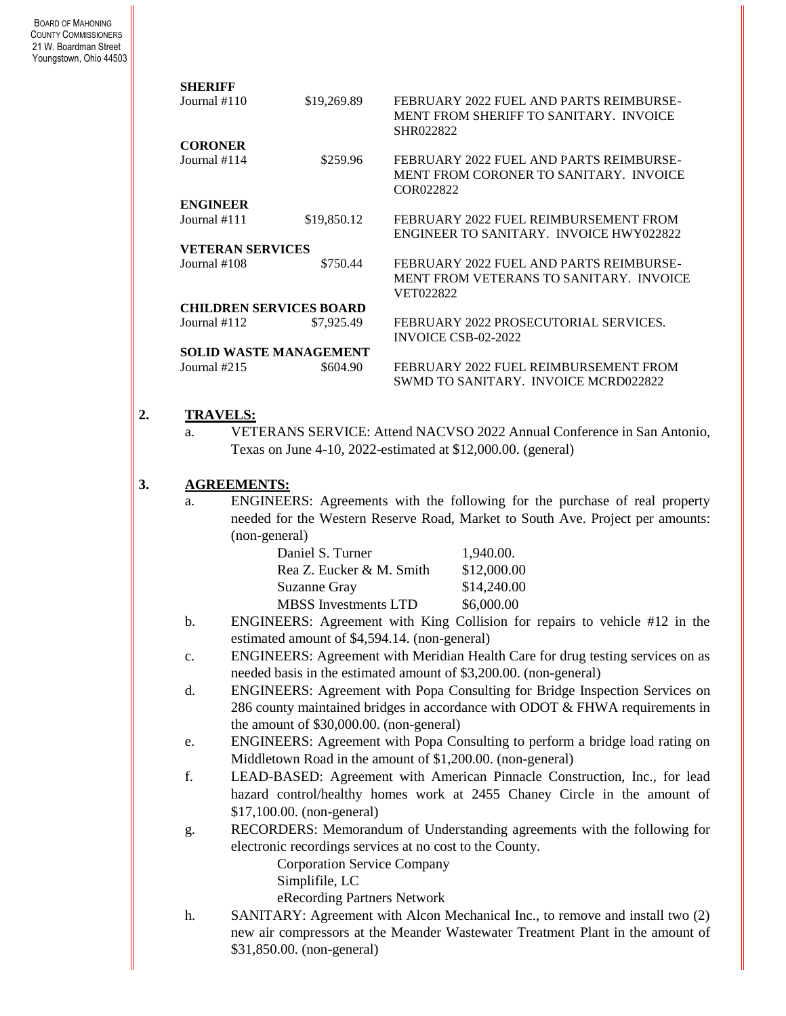BOARD OF MAHONING COUNTY COMMISSIONERS 21 W. Boardman Street Youngstown, Ohio 44503

| <b>SHERIFF</b>             |                                                                                                                                                              |                                               |                                                                                    |                                                                                                                                        |  |
|----------------------------|--------------------------------------------------------------------------------------------------------------------------------------------------------------|-----------------------------------------------|------------------------------------------------------------------------------------|----------------------------------------------------------------------------------------------------------------------------------------|--|
| Journal #110               |                                                                                                                                                              | \$19,269.89                                   | SHR022822                                                                          | FEBRUARY 2022 FUEL AND PARTS REIMBURSE-<br>MENT FROM SHERIFF TO SANITARY. INVOICE                                                      |  |
| <b>CORONER</b>             |                                                                                                                                                              |                                               |                                                                                    |                                                                                                                                        |  |
| Journal #114               |                                                                                                                                                              | \$259.96                                      | COR022822                                                                          | FEBRUARY 2022 FUEL AND PARTS REIMBURSE-<br>MENT FROM CORONER TO SANITARY. INVOICE                                                      |  |
| <b>ENGINEER</b>            |                                                                                                                                                              |                                               |                                                                                    |                                                                                                                                        |  |
| Journal #111               |                                                                                                                                                              | \$19,850.12                                   |                                                                                    | FEBRUARY 2022 FUEL REIMBURSEMENT FROM<br>ENGINEER TO SANITARY. INVOICE HWY022822                                                       |  |
|                            | <b>VETERAN SERVICES</b>                                                                                                                                      |                                               |                                                                                    |                                                                                                                                        |  |
| Journal #108<br>\$750.44   |                                                                                                                                                              | VET022822                                     | FEBRUARY 2022 FUEL AND PARTS REIMBURSE-<br>MENT FROM VETERANS TO SANITARY. INVOICE |                                                                                                                                        |  |
|                            |                                                                                                                                                              | <b>CHILDREN SERVICES BOARD</b>                |                                                                                    |                                                                                                                                        |  |
| Journal #112<br>\$7,925.49 |                                                                                                                                                              |                                               | FEBRUARY 2022 PROSECUTORIAL SERVICES.<br><b>INVOICE CSB-02-2022</b>                |                                                                                                                                        |  |
|                            |                                                                                                                                                              | <b>SOLID WASTE MANAGEMENT</b>                 |                                                                                    |                                                                                                                                        |  |
| Journal #215<br>\$604.90   |                                                                                                                                                              |                                               | FEBRUARY 2022 FUEL REIMBURSEMENT FROM<br>SWMD TO SANITARY. INVOICE MCRD022822      |                                                                                                                                        |  |
| <b>TRAVELS:</b><br>a.      |                                                                                                                                                              |                                               |                                                                                    | VETERANS SERVICE: Attend NACVSO 2022 Annual Conference in San Antonio,<br>Texas on June 4-10, 2022-estimated at \$12,000.00. (general) |  |
|                            |                                                                                                                                                              |                                               |                                                                                    |                                                                                                                                        |  |
|                            | <b>AGREEMENTS:</b>                                                                                                                                           |                                               |                                                                                    |                                                                                                                                        |  |
| a.                         | ENGINEERS: Agreements with the following for the purchase of real property<br>needed for the Western Reserve Road, Market to South Ave. Project per amounts: |                                               |                                                                                    |                                                                                                                                        |  |
|                            | (non-general)                                                                                                                                                |                                               |                                                                                    |                                                                                                                                        |  |
|                            |                                                                                                                                                              | Daniel S. Turner                              |                                                                                    | 1,940.00.                                                                                                                              |  |
|                            |                                                                                                                                                              | Rea Z. Eucker & M. Smith                      |                                                                                    | \$12,000.00                                                                                                                            |  |
|                            |                                                                                                                                                              | Suzanne Gray                                  |                                                                                    | \$14,240.00                                                                                                                            |  |
|                            |                                                                                                                                                              | <b>MBSS</b> Investments LTD                   |                                                                                    | \$6,000.00                                                                                                                             |  |
| b.                         |                                                                                                                                                              |                                               |                                                                                    | ENGINEERS: Agreement with King Collision for repairs to vehicle #12 in the                                                             |  |
|                            |                                                                                                                                                              | estimated amount of \$4,594.14. (non-general) |                                                                                    |                                                                                                                                        |  |

- c. ENGINEERS: Agreement with Meridian Health Care for drug testing services on as needed basis in the estimated amount of \$3,200.00. (non-general)
- d. ENGINEERS: Agreement with Popa Consulting for Bridge Inspection Services on 286 county maintained bridges in accordance with ODOT & FHWA requirements in the amount of \$30,000.00. (non-general)
- e. ENGINEERS: Agreement with Popa Consulting to perform a bridge load rating on Middletown Road in the amount of \$1,200.00. (non-general)
- f. LEAD-BASED: Agreement with American Pinnacle Construction, Inc., for lead hazard control/healthy homes work at 2455 Chaney Circle in the amount of \$17,100.00. (non-general)
- g. RECORDERS: Memorandum of Understanding agreements with the following for electronic recordings services at no cost to the County.

Corporation Service Company

Simplifile, LC

eRecording Partners Network

h. SANITARY: Agreement with Alcon Mechanical Inc., to remove and install two  $(2)$ new air compressors at the Meander Wastewater Treatment Plant in the amount of \$31,850.00. (non-general)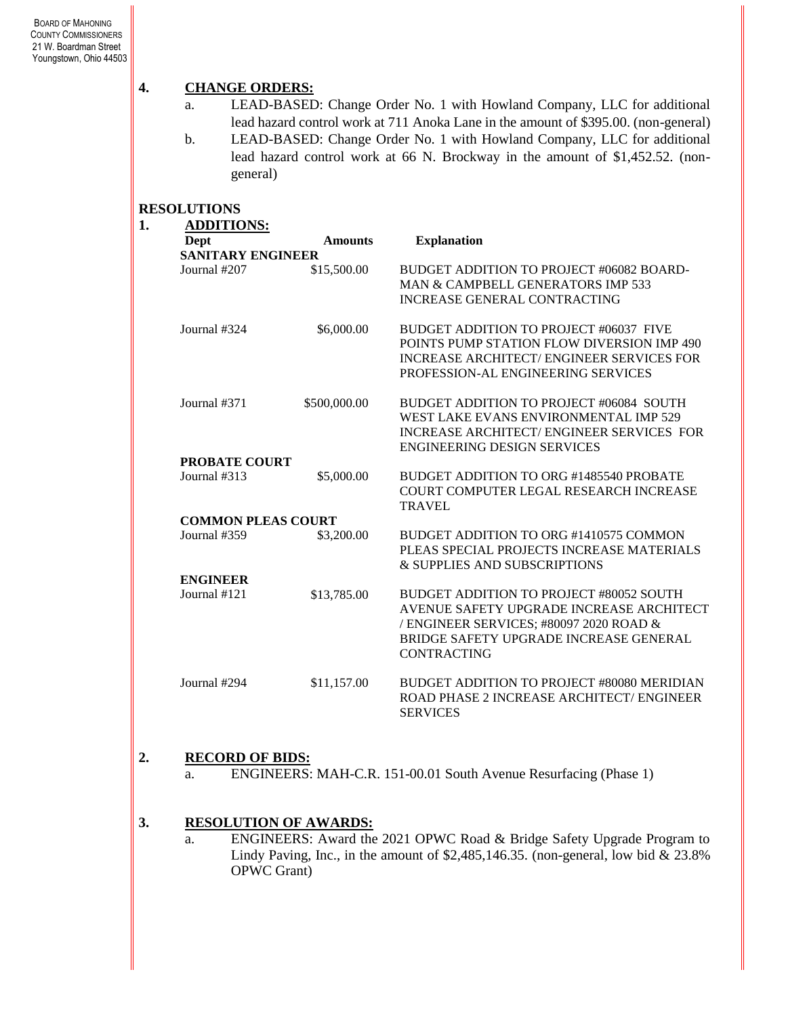# **4. CHANGE ORDERS:**

- a. LEAD-BASED: Change Order No. 1 with Howland Company, LLC for additional lead hazard control work at 711 Anoka Lane in the amount of \$395.00. (non-general)
- b. LEAD-BASED: Change Order No. 1 with Howland Company, LLC for additional lead hazard control work at 66 N. Brockway in the amount of \$1,452.52. (nongeneral)

### **RESOLUTIONS**

| 1. | <b>ADDITIONS:</b>         |                |                                                 |
|----|---------------------------|----------------|-------------------------------------------------|
|    | Dept                      | <b>Amounts</b> | <b>Explanation</b>                              |
|    | <b>SANITARY ENGINEER</b>  |                |                                                 |
|    | Journal #207              | \$15,500.00    | BUDGET ADDITION TO PROJECT #06082 BOARD-        |
|    |                           |                | MAN & CAMPBELL GENERATORS IMP 533               |
|    |                           |                | <b>INCREASE GENERAL CONTRACTING</b>             |
|    | Journal #324              | \$6,000.00     | BUDGET ADDITION TO PROJECT #06037 FIVE          |
|    |                           |                | POINTS PUMP STATION FLOW DIVERSION IMP 490      |
|    |                           |                | <b>INCREASE ARCHITECT/ENGINEER SERVICES FOR</b> |
|    |                           |                | PROFESSION-AL ENGINEERING SERVICES              |
|    | Journal #371              | \$500,000.00   | BUDGET ADDITION TO PROJECT #06084 SOUTH         |
|    |                           |                | WEST LAKE EVANS ENVIRONMENTAL IMP 529           |
|    |                           |                | INCREASE ARCHITECT/ENGINEER SERVICES FOR        |
|    |                           |                | <b>ENGINEERING DESIGN SERVICES</b>              |
|    | <b>PROBATE COURT</b>      |                |                                                 |
|    | Journal #313              | \$5,000.00     | BUDGET ADDITION TO ORG #1485540 PROBATE         |
|    |                           |                | COURT COMPUTER LEGAL RESEARCH INCREASE          |
|    |                           |                | <b>TRAVEL</b>                                   |
|    | <b>COMMON PLEAS COURT</b> |                |                                                 |
|    | Journal #359              | \$3,200.00     | BUDGET ADDITION TO ORG #1410575 COMMON          |
|    |                           |                | PLEAS SPECIAL PROJECTS INCREASE MATERIALS       |
|    |                           |                | & SUPPLIES AND SUBSCRIPTIONS                    |
|    | <b>ENGINEER</b>           |                |                                                 |
|    | Journal #121              | \$13,785.00    | BUDGET ADDITION TO PROJECT #80052 SOUTH         |
|    |                           |                | AVENUE SAFETY UPGRADE INCREASE ARCHITECT        |
|    |                           |                | / ENGINEER SERVICES; #80097 2020 ROAD &         |
|    |                           |                | BRIDGE SAFETY UPGRADE INCREASE GENERAL          |
|    |                           |                | <b>CONTRACTING</b>                              |
|    | Journal #294              | \$11,157.00    | BUDGET ADDITION TO PROJECT #80080 MERIDIAN      |
|    |                           |                | ROAD PHASE 2 INCREASE ARCHITECT/ ENGINEER       |
|    |                           |                | <b>SERVICES</b>                                 |

#### **2. RECORD OF BIDS:**

a. ENGINEERS: MAH-C.R. 151-00.01 South Avenue Resurfacing (Phase 1)

# **3. RESOLUTION OF AWARDS:**

a. ENGINEERS: Award the 2021 OPWC Road & Bridge Safety Upgrade Program to Lindy Paving, Inc., in the amount of  $$2,485,146.35$ . (non-general, low bid & 23.8%) OPWC Grant)